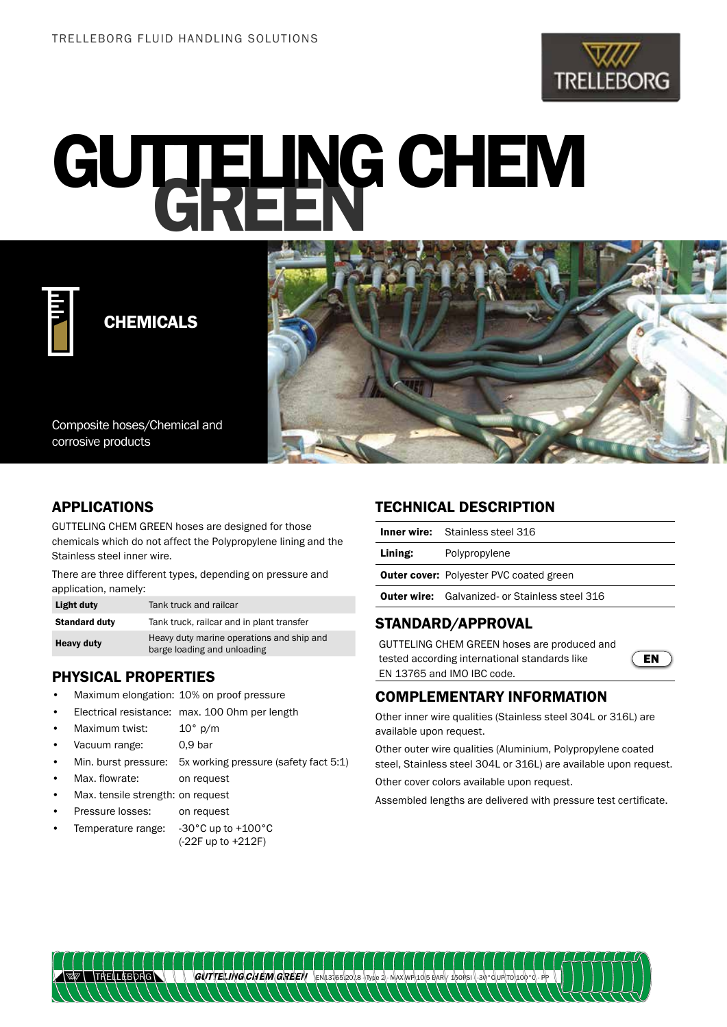

# GUTTELING CHEM



CHEMICALS

Composite hoses/Chemical and corrosive products

# APPLICATIONS

GUTTELING CHEM GREEN hoses are designed for those chemicals which do not affect the Polypropylene lining and the Stainless steel inner wire.

There are three different types, depending on pressure and application, namely:

| Light duty           | Tank truck and railcar                                                   |
|----------------------|--------------------------------------------------------------------------|
| <b>Standard duty</b> | Tank truck, railcar and in plant transfer                                |
| <b>Heavy duty</b>    | Heavy duty marine operations and ship and<br>barge loading and unloading |

## PHYSICAL PROPERTIES

- Maximum elongation: 10% on proof pressure
- Electrical resistance: max. 100 Ohm per length
- Maximum twist: 10° p/m
- Vacuum range: 0,9 bar
- Min. burst pressure: 5x working pressure (safety fact 5:1)
- Max. flowrate: on request
- Max. tensile strength: on request
- Pressure losses: on request
- Temperature range: -30°C up to +100°C (-22F up to +212F)

### TECHNICAL DESCRIPTION

|         | <b>Inner wire:</b> Stainless steel 316                |
|---------|-------------------------------------------------------|
| Lining: | Polypropylene                                         |
|         | <b>Outer cover:</b> Polyester PVC coated green        |
|         | <b>Outer wire:</b> Galvanized- or Stainless steel 316 |
|         |                                                       |

#### STANDARD/APPROVAL

GUTTELING CHEM GREEN hoses are produced and tested according international standards like EN 13765 and IMO IBC code.



#### COMPLEMENTARY INFORMATION

Other inner wire qualities (Stainless steel 304L or 316L) are available upon request.

Other outer wire qualities (Aluminium, Polypropylene coated steel, Stainless steel 304L or 316L) are available upon request. Other cover colors available upon request.

Assembled lengths are delivered with pressure test certificate.